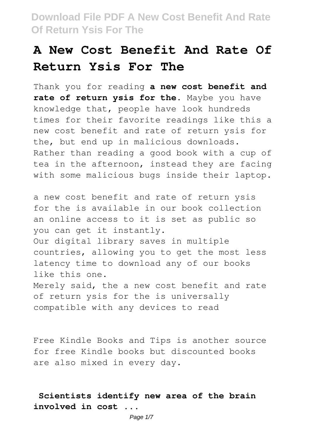# **A New Cost Benefit And Rate Of Return Ysis For The**

Thank you for reading **a new cost benefit and rate of return ysis for the**. Maybe you have knowledge that, people have look hundreds times for their favorite readings like this a new cost benefit and rate of return ysis for the, but end up in malicious downloads. Rather than reading a good book with a cup of tea in the afternoon, instead they are facing with some malicious bugs inside their laptop.

a new cost benefit and rate of return ysis for the is available in our book collection an online access to it is set as public so you can get it instantly. Our digital library saves in multiple countries, allowing you to get the most less latency time to download any of our books like this one. Merely said, the a new cost benefit and rate of return ysis for the is universally compatible with any devices to read

Free Kindle Books and Tips is another source for free Kindle books but discounted books are also mixed in every day.

**Scientists identify new area of the brain involved in cost ...**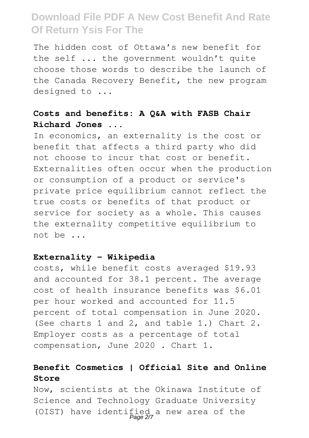The hidden cost of Ottawa's new benefit for the self ... the government wouldn't quite choose those words to describe the launch of the Canada Recovery Benefit, the new program designed to ...

#### **Costs and benefits: A Q&A with FASB Chair Richard Jones ...**

In economics, an externality is the cost or benefit that affects a third party who did not choose to incur that cost or benefit. Externalities often occur when the production or consumption of a product or service's private price equilibrium cannot reflect the true costs or benefits of that product or service for society as a whole. This causes the externality competitive equilibrium to not be ...

#### **Externality - Wikipedia**

costs, while benefit costs averaged \$19.93 and accounted for 38.1 percent. The average cost of health insurance benefits was \$6.01 per hour worked and accounted for 11.5 percent of total compensation in June 2020. (See charts 1 and 2, and table 1.) Chart 2. Employer costs as a percentage of total compensation, June 2020 . Chart 1.

### **Benefit Cosmetics | Official Site and Online Store**

Now, scientists at the Okinawa Institute of Science and Technology Graduate University (OIST) have identified a new area of the Page 2/7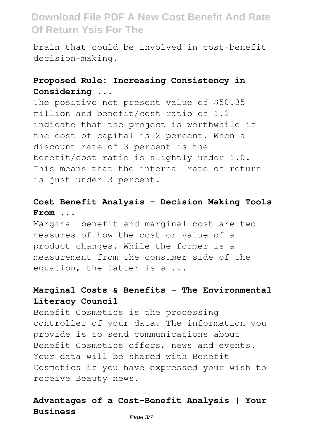brain that could be involved in cost-benefit decision-making.

### **Proposed Rule: Increasing Consistency in Considering ...**

The positive net present value of \$50.35 million and benefit/cost ratio of 1.2 indicate that the project is worthwhile if the cost of capital is 2 percent. When a discount rate of 3 percent is the benefit/cost ratio is slightly under 1.0. This means that the internal rate of return is just under 3 percent.

#### **Cost Benefit Analysis - Decision Making Tools From ...**

Marginal benefit and marginal cost are two measures of how the cost or value of a product changes. While the former is a measurement from the consumer side of the equation, the latter is a ...

#### **Marginal Costs & Benefits - The Environmental Literacy Council**

Benefit Cosmetics is the processing controller of your data. The information you provide is to send communications about Benefit Cosmetics offers, news and events. Your data will be shared with Benefit Cosmetics if you have expressed your wish to receive Beauty news.

### **Advantages of a Cost-Benefit Analysis | Your Business**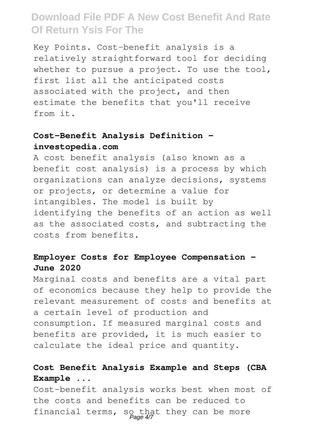Key Points. Cost-benefit analysis is a relatively straightforward tool for deciding whether to pursue a project. To use the tool, first list all the anticipated costs associated with the project, and then estimate the benefits that you'll receive from it.

### **Cost-Benefit Analysis Definition investopedia.com**

A cost benefit analysis (also known as a benefit cost analysis) is a process by which organizations can analyze decisions, systems or projects, or determine a value for intangibles. The model is built by identifying the benefits of an action as well as the associated costs, and subtracting the costs from benefits.

#### **Employer Costs for Employee Compensation - June 2020**

Marginal costs and benefits are a vital part of economics because they help to provide the relevant measurement of costs and benefits at a certain level of production and consumption. If measured marginal costs and benefits are provided, it is much easier to calculate the ideal price and quantity.

### **Cost Benefit Analysis Example and Steps (CBA Example ...**

Cost-benefit analysis works best when most of the costs and benefits can be reduced to financial terms, so that they can be more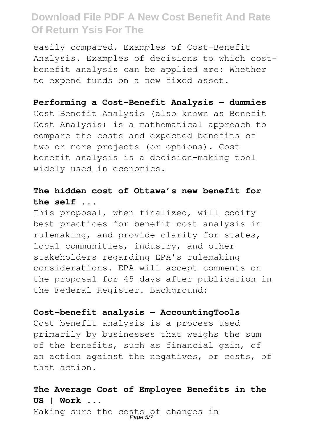easily compared. Examples of Cost-Benefit Analysis. Examples of decisions to which costbenefit analysis can be applied are: Whether to expend funds on a new fixed asset.

#### **Performing a Cost-Benefit Analysis - dummies**

Cost Benefit Analysis (also known as Benefit Cost Analysis) is a mathematical approach to compare the costs and expected benefits of two or more projects (or options). Cost benefit analysis is a decision-making tool widely used in economics.

#### **The hidden cost of Ottawa's new benefit for the self ...**

This proposal, when finalized, will codify best practices for benefit-cost analysis in rulemaking, and provide clarity for states, local communities, industry, and other stakeholders regarding EPA's rulemaking considerations. EPA will accept comments on the proposal for 45 days after publication in the Federal Register. Background:

#### **Cost-benefit analysis — AccountingTools**

Cost benefit analysis is a process used primarily by businesses that weighs the sum of the benefits, such as financial gain, of an action against the negatives, or costs, of that action.

### **The Average Cost of Employee Benefits in the US | Work ...**

Making sure the costs of changes in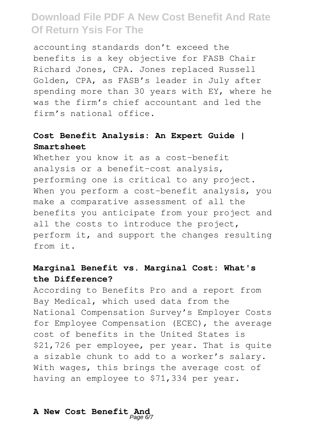accounting standards don't exceed the benefits is a key objective for FASB Chair Richard Jones, CPA. Jones replaced Russell Golden, CPA, as FASB's leader in July after spending more than 30 years with EY, where he was the firm's chief accountant and led the firm's national office.

### **Cost Benefit Analysis: An Expert Guide | Smartsheet**

Whether you know it as a cost-benefit analysis or a benefit-cost analysis, performing one is critical to any project. When you perform a cost-benefit analysis, you make a comparative assessment of all the benefits you anticipate from your project and all the costs to introduce the project, perform it, and support the changes resulting from it.

#### **Marginal Benefit vs. Marginal Cost: What's the Difference?**

According to Benefits Pro and a report from Bay Medical, which used data from the National Compensation Survey's Employer Costs for Employee Compensation (ECEC), the average cost of benefits in the United States is \$21,726 per employee, per year. That is quite a sizable chunk to add to a worker's salary. With wages, this brings the average cost of having an employee to \$71,334 per year.

# **A New Cost Benefit And** Page 6/7